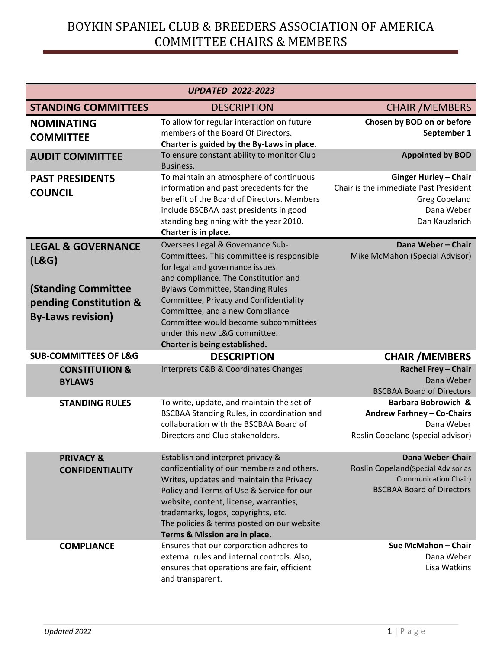| <b>UPDATED 2022-2023</b>                                                         |                                                                                                                                                                                                                                                                                                                                          |                                                                                                                               |  |  |
|----------------------------------------------------------------------------------|------------------------------------------------------------------------------------------------------------------------------------------------------------------------------------------------------------------------------------------------------------------------------------------------------------------------------------------|-------------------------------------------------------------------------------------------------------------------------------|--|--|
| <b>STANDING COMMITTEES</b>                                                       | <b>DESCRIPTION</b>                                                                                                                                                                                                                                                                                                                       | <b>CHAIR /MEMBERS</b>                                                                                                         |  |  |
| <b>NOMINATING</b><br><b>COMMITTEE</b>                                            | To allow for regular interaction on future<br>members of the Board Of Directors.<br>Charter is guided by the By-Laws in place.                                                                                                                                                                                                           | Chosen by BOD on or before<br>September 1                                                                                     |  |  |
| <b>AUDIT COMMITTEE</b>                                                           | To ensure constant ability to monitor Club<br>Business.                                                                                                                                                                                                                                                                                  | <b>Appointed by BOD</b>                                                                                                       |  |  |
| <b>PAST PRESIDENTS</b><br><b>COUNCIL</b>                                         | To maintain an atmosphere of continuous<br>information and past precedents for the<br>benefit of the Board of Directors. Members<br>include BSCBAA past presidents in good<br>standing beginning with the year 2010.<br>Charter is in place.                                                                                             | <b>Ginger Hurley - Chair</b><br>Chair is the immediate Past President<br><b>Greg Copeland</b><br>Dana Weber<br>Dan Kauzlarich |  |  |
| <b>LEGAL &amp; GOVERNANCE</b><br>(L&G)                                           | Oversees Legal & Governance Sub-<br>Committees. This committee is responsible<br>for legal and governance issues<br>and compliance. The Constitution and                                                                                                                                                                                 | Dana Weber - Chair<br>Mike McMahon (Special Advisor)                                                                          |  |  |
| <b>(Standing Committee</b><br>pending Constitution &<br><b>By-Laws revision)</b> | <b>Bylaws Committee, Standing Rules</b><br>Committee, Privacy and Confidentiality<br>Committee, and a new Compliance<br>Committee would become subcommittees<br>under this new L&G committee.<br>Charter is being established.                                                                                                           |                                                                                                                               |  |  |
| <b>SUB-COMMITTEES OF L&amp;G</b>                                                 | <b>DESCRIPTION</b>                                                                                                                                                                                                                                                                                                                       | <b>CHAIR /MEMBERS</b>                                                                                                         |  |  |
| <b>CONSTITUTION &amp;</b><br><b>BYLAWS</b>                                       | Interprets C&B & Coordinates Changes                                                                                                                                                                                                                                                                                                     | <b>Rachel Frey - Chair</b><br>Dana Weber<br><b>BSCBAA Board of Directors</b>                                                  |  |  |
| <b>STANDING RULES</b>                                                            | To write, update, and maintain the set of<br>BSCBAA Standing Rules, in coordination and<br>collaboration with the BSCBAA Board of<br>Directors and Club stakeholders.                                                                                                                                                                    | Barbara Bobrowich &<br>Andrew Farhney - Co-Chairs<br>Dana Weber<br>Roslin Copeland (special advisor)                          |  |  |
| <b>PRIVACY &amp;</b><br><b>CONFIDENTIALITY</b>                                   | Establish and interpret privacy &<br>confidentiality of our members and others.<br>Writes, updates and maintain the Privacy<br>Policy and Terms of Use & Service for our<br>website, content, license, warranties,<br>trademarks, logos, copyrights, etc.<br>The policies & terms posted on our website<br>Terms & Mission are in place. | <b>Dana Weber-Chair</b><br>Roslin Copeland(Special Advisor as<br>Communication Chair)<br><b>BSCBAA Board of Directors</b>     |  |  |
| <b>COMPLIANCE</b>                                                                | Ensures that our corporation adheres to<br>external rules and internal controls. Also,<br>ensures that operations are fair, efficient<br>and transparent.                                                                                                                                                                                | Sue McMahon - Chair<br>Dana Weber<br>Lisa Watkins                                                                             |  |  |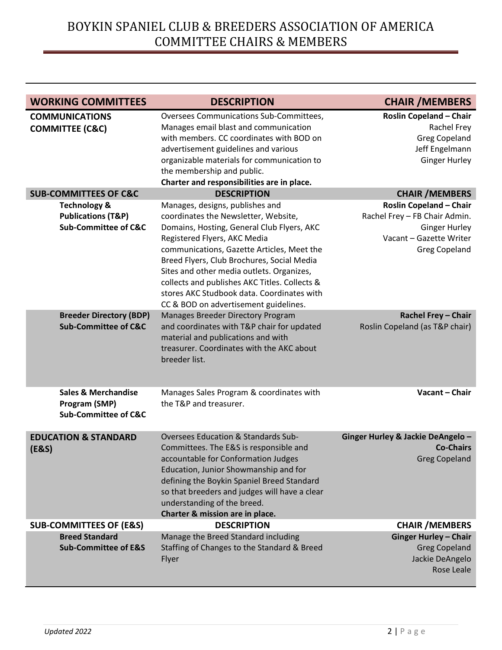| <b>WORKING COMMITTEES</b>                                                          | <b>DESCRIPTION</b>                                                                                                                                                                                                                                                                                                                                                                                  | <b>CHAIR /MEMBERS</b>                                                                                           |
|------------------------------------------------------------------------------------|-----------------------------------------------------------------------------------------------------------------------------------------------------------------------------------------------------------------------------------------------------------------------------------------------------------------------------------------------------------------------------------------------------|-----------------------------------------------------------------------------------------------------------------|
| <b>COMMUNICATIONS</b><br><b>COMMITTEE (C&amp;C)</b>                                | Oversees Communications Sub-Committees,<br>Manages email blast and communication<br>with members. CC coordinates with BOD on<br>advertisement guidelines and various<br>organizable materials for communication to<br>the membership and public.                                                                                                                                                    | <b>Roslin Copeland - Chair</b><br>Rachel Frey<br><b>Greg Copeland</b><br>Jeff Engelmann<br><b>Ginger Hurley</b> |
| <b>SUB-COMMITTEES OF C&amp;C</b>                                                   | Charter and responsibilities are in place.<br><b>DESCRIPTION</b>                                                                                                                                                                                                                                                                                                                                    |                                                                                                                 |
| <b>Technology &amp;</b>                                                            | Manages, designs, publishes and                                                                                                                                                                                                                                                                                                                                                                     | <b>CHAIR / MEMBERS</b><br><b>Roslin Copeland - Chair</b>                                                        |
| <b>Publications (T&amp;P)</b><br><b>Sub-Committee of C&amp;C</b>                   | coordinates the Newsletter, Website,<br>Domains, Hosting, General Club Flyers, AKC<br>Registered Flyers, AKC Media<br>communications, Gazette Articles, Meet the<br>Breed Flyers, Club Brochures, Social Media<br>Sites and other media outlets. Organizes,<br>collects and publishes AKC Titles. Collects &<br>stores AKC Studbook data. Coordinates with<br>CC & BOD on advertisement guidelines. | Rachel Frey - FB Chair Admin.<br><b>Ginger Hurley</b><br>Vacant - Gazette Writer<br><b>Greg Copeland</b>        |
| <b>Breeder Directory (BDP)</b><br><b>Sub-Committee of C&amp;C</b>                  | Manages Breeder Directory Program<br>and coordinates with T&P chair for updated<br>material and publications and with<br>treasurer. Coordinates with the AKC about<br>breeder list.                                                                                                                                                                                                                 | Rachel Frey - Chair<br>Roslin Copeland (as T&P chair)                                                           |
| <b>Sales &amp; Merchandise</b><br>Program (SMP)<br><b>Sub-Committee of C&amp;C</b> | Manages Sales Program & coordinates with<br>the T&P and treasurer.                                                                                                                                                                                                                                                                                                                                  | Vacant - Chair                                                                                                  |
| <b>EDUCATION &amp; STANDARD</b><br>(E&S)                                           | <b>Oversees Education &amp; Standards Sub-</b><br>Committees. The E&S is responsible and<br>accountable for Conformation Judges<br>Education, Junior Showmanship and for<br>defining the Boykin Spaniel Breed Standard<br>so that breeders and judges will have a clear<br>understanding of the breed.<br>Charter & mission are in place.                                                           | Ginger Hurley & Jackie DeAngelo -<br><b>Co-Chairs</b><br><b>Greg Copeland</b>                                   |
| <b>SUB-COMMITTEES OF (E&amp;S)</b>                                                 | <b>DESCRIPTION</b>                                                                                                                                                                                                                                                                                                                                                                                  | <b>CHAIR / MEMBERS</b>                                                                                          |
| <b>Breed Standard</b><br><b>Sub-Committee of E&amp;S</b>                           | Manage the Breed Standard including<br>Staffing of Changes to the Standard & Breed<br>Flyer                                                                                                                                                                                                                                                                                                         | <b>Ginger Hurley - Chair</b><br><b>Greg Copeland</b><br>Jackie DeAngelo<br>Rose Leale                           |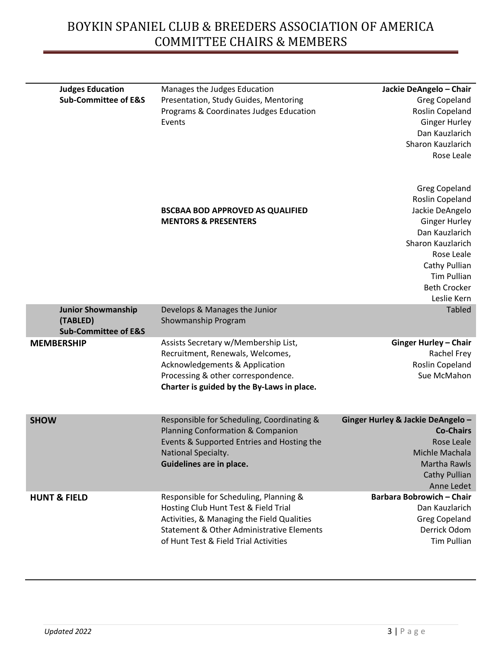| <b>Judges Education</b><br><b>Sub-Committee of E&amp;S</b> | Manages the Judges Education<br>Presentation, Study Guides, Mentoring | Jackie DeAngelo - Chair<br><b>Greg Copeland</b> |
|------------------------------------------------------------|-----------------------------------------------------------------------|-------------------------------------------------|
|                                                            | Programs & Coordinates Judges Education                               | Roslin Copeland                                 |
|                                                            | Events                                                                | <b>Ginger Hurley</b>                            |
|                                                            |                                                                       | Dan Kauzlarich                                  |
|                                                            |                                                                       | Sharon Kauzlarich                               |
|                                                            |                                                                       | Rose Leale                                      |
|                                                            |                                                                       |                                                 |
|                                                            |                                                                       | <b>Greg Copeland</b>                            |
|                                                            |                                                                       | Roslin Copeland                                 |
|                                                            | <b>BSCBAA BOD APPROVED AS QUALIFIED</b>                               | Jackie DeAngelo                                 |
|                                                            | <b>MENTORS &amp; PRESENTERS</b>                                       | <b>Ginger Hurley</b>                            |
|                                                            |                                                                       | Dan Kauzlarich                                  |
|                                                            |                                                                       | Sharon Kauzlarich                               |
|                                                            |                                                                       | Rose Leale                                      |
|                                                            |                                                                       | Cathy Pullian                                   |
|                                                            |                                                                       | <b>Tim Pullian</b>                              |
|                                                            |                                                                       | <b>Beth Crocker</b>                             |
|                                                            |                                                                       | Leslie Kern                                     |
| <b>Junior Showmanship</b>                                  | Develops & Manages the Junior                                         | <b>Tabled</b>                                   |
| (TABLED)                                                   | Showmanship Program                                                   |                                                 |
| <b>Sub-Committee of E&amp;S</b>                            |                                                                       |                                                 |
| <b>MEMBERSHIP</b>                                          | Assists Secretary w/Membership List,                                  | <b>Ginger Hurley - Chair</b>                    |
|                                                            | Recruitment, Renewals, Welcomes,                                      | Rachel Frey                                     |
|                                                            | <b>Acknowledgements &amp; Application</b>                             | Roslin Copeland                                 |
|                                                            | Processing & other correspondence.                                    | Sue McMahon                                     |
|                                                            | Charter is guided by the By-Laws in place.                            |                                                 |
| <b>SHOW</b>                                                | Responsible for Scheduling, Coordinating &                            | Ginger Hurley & Jackie DeAngelo -               |
|                                                            | Planning Conformation & Companion                                     | <b>Co-Chairs</b>                                |
|                                                            | Events & Supported Entries and Hosting the                            | Rose Leale                                      |
|                                                            | National Specialty.                                                   | Michle Machala                                  |
|                                                            | Guidelines are in place.                                              | <b>Martha Rawls</b>                             |
|                                                            |                                                                       | Cathy Pullian                                   |
|                                                            |                                                                       | Anne Ledet                                      |
| <b>HUNT &amp; FIELD</b>                                    | Responsible for Scheduling, Planning &                                | <b>Barbara Bobrowich - Chair</b>                |
|                                                            | Hosting Club Hunt Test & Field Trial                                  | Dan Kauzlarich                                  |
|                                                            | Activities, & Managing the Field Qualities                            | <b>Greg Copeland</b>                            |
|                                                            | Statement & Other Administrative Elements                             | Derrick Odom                                    |
|                                                            | of Hunt Test & Field Trial Activities                                 | <b>Tim Pullian</b>                              |
|                                                            |                                                                       |                                                 |